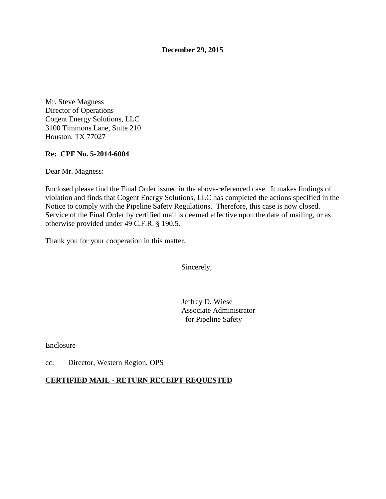**December 29, 2015** 

Mr. Steve Magness Director of Operations Cogent Energy Solutions, LLC 3100 Timmons Lane, Suite 210 Houston, TX 77027

### **Re: CPF No. 5-2014-6004**

Dear Mr. Magness:

Enclosed please find the Final Order issued in the above-referenced case. It makes findings of violation and finds that Cogent Energy Solutions, LLC has completed the actions specified in the Notice to comply with the Pipeline Safety Regulations. Therefore, this case is now closed. Service of the Final Order by certified mail is deemed effective upon the date of mailing, or as otherwise provided under 49 C.F.R. § 190.5.

Thank you for your cooperation in this matter.

Sincerely,

Jeffrey D. Wiese Associate Administrator for Pipeline Safety

Enclosure

cc: Director, Western Region, OPS

#### **CERTIFIED MAIL - RETURN RECEIPT REQUESTED**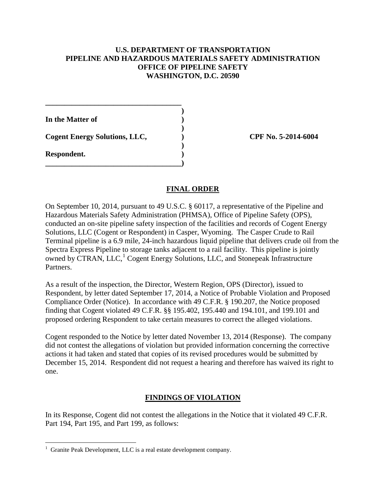#### **U.S. DEPARTMENT OF TRANSPORTATION PIPELINE AND HAZARDOUS MATERIALS SAFETY ADMINISTRATION OFFICE OF PIPELINE SAFETY WASHINGTON, D.C. 20590**

 **) In the Matter of )** 

Cogent Energy Solutions, LLC,  $\qquad \qquad$  (PF No. 5-2014-6004)

**\_\_\_\_\_\_\_\_\_\_\_\_\_\_\_\_\_\_\_\_\_\_\_\_\_\_\_\_\_\_\_\_\_\_\_\_** 

 **)** 

 **)** 

**\_\_\_\_\_\_\_\_\_\_\_\_\_\_\_\_\_\_\_\_\_\_\_\_\_\_\_\_\_\_\_\_\_\_\_\_)** 

**Respondent. )** 

 $\overline{a}$ 

### **FINAL ORDER**

On September 10, 2014, pursuant to 49 U.S.C. § 60117, a representative of the Pipeline and Hazardous Materials Safety Administration (PHMSA), Office of Pipeline Safety (OPS), conducted an on-site pipeline safety inspection of the facilities and records of Cogent Energy Solutions, LLC (Cogent or Respondent) in Casper, Wyoming. The Casper Crude to Rail Terminal pipeline is a 6.9 mile, 24-inch hazardous liquid pipeline that delivers crude oil from the Spectra Express Pipeline to storage tanks adjacent to a rail facility. This pipeline is jointly owned by CTRAN, LLC,<sup>1</sup> Cogent Energy Solutions, LLC, and Stonepeak Infrastructure Partners.

As a result of the inspection, the Director, Western Region, OPS (Director), issued to Respondent, by letter dated September 17, 2014, a Notice of Probable Violation and Proposed Compliance Order (Notice). In accordance with 49 C.F.R. § 190.207, the Notice proposed finding that Cogent violated 49 C.F.R. §§ 195.402, 195.440 and 194.101, and 199.101 and proposed ordering Respondent to take certain measures to correct the alleged violations.

Cogent responded to the Notice by letter dated November 13, 2014 (Response). The company did not contest the allegations of violation but provided information concerning the corrective actions it had taken and stated that copies of its revised procedures would be submitted by December 15, 2014. Respondent did not request a hearing and therefore has waived its right to one.

# **FINDINGS OF VIOLATION**

In its Response, Cogent did not contest the allegations in the Notice that it violated 49 C.F.R. Part 194, Part 195, and Part 199, as follows:

<sup>&</sup>lt;sup>1</sup> Granite Peak Development, LLC is a real estate development company.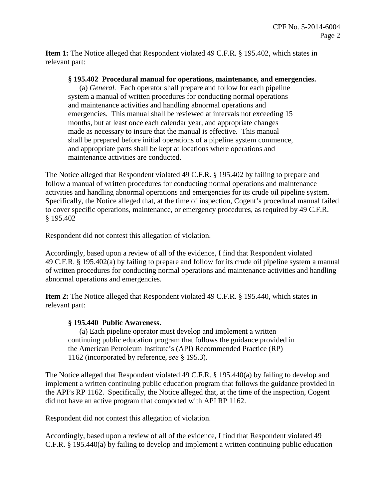**Item 1:** The Notice alleged that Respondent violated 49 C.F.R. § 195.402, which states in relevant part:

#### **§ 195.402 Procedural manual for operations, maintenance, and emergencies.**

(a) *General.* Each operator shall prepare and follow for each pipeline system a manual of written procedures for conducting normal operations and maintenance activities and handling abnormal operations and emergencies. This manual shall be reviewed at intervals not exceeding 15 months, but at least once each calendar year, and appropriate changes made as necessary to insure that the manual is effective. This manual shall be prepared before initial operations of a pipeline system commence, and appropriate parts shall be kept at locations where operations and maintenance activities are conducted.

The Notice alleged that Respondent violated 49 C.F.R. § 195.402 by failing to prepare and follow a manual of written procedures for conducting normal operations and maintenance activities and handling abnormal operations and emergencies for its crude oil pipeline system. Specifically, the Notice alleged that, at the time of inspection, Cogent's procedural manual failed to cover specific operations, maintenance, or emergency procedures, as required by 49 C.F.R. § 195.402

Respondent did not contest this allegation of violation.

Accordingly, based upon a review of all of the evidence, I find that Respondent violated 49 C.F.R. § 195.402(a) by failing to prepare and follow for its crude oil pipeline system a manual of written procedures for conducting normal operations and maintenance activities and handling abnormal operations and emergencies.

**Item 2:** The Notice alleged that Respondent violated 49 C.F.R. § 195.440, which states in relevant part:

#### **§ 195.440 Public Awareness.**

(a) Each pipeline operator must develop and implement a written continuing public education program that follows the guidance provided in the American Petroleum Institute's (API) Recommended Practice (RP) 1162 (incorporated by reference, *see* § 195.3).

The Notice alleged that Respondent violated 49 C.F.R. § 195.440(a) by failing to develop and implement a written continuing public education program that follows the guidance provided in the API's RP 1162. Specifically, the Notice alleged that, at the time of the inspection, Cogent did not have an active program that comported with API RP 1162.

Respondent did not contest this allegation of violation.

Accordingly, based upon a review of all of the evidence, I find that Respondent violated 49 C.F.R. § 195.440(a) by failing to develop and implement a written continuing public education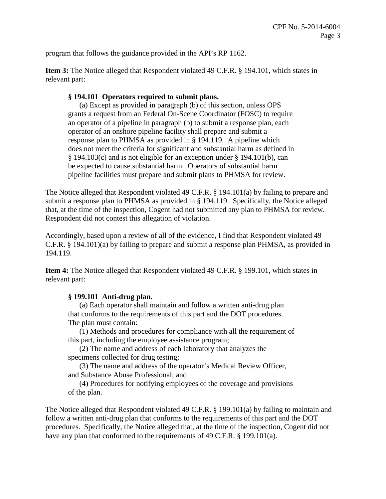program that follows the guidance provided in the API's RP 1162.

**Item 3:** The Notice alleged that Respondent violated 49 C.F.R. § 194.101, which states in relevant part:

# **§ 194.101 Operators required to submit plans.**

(a) Except as provided in paragraph (b) of this section, unless OPS grants a request from an Federal On-Scene Coordinator (FOSC) to require an operator of a pipeline in paragraph (b) to submit a response plan, each operator of an onshore pipeline facility shall prepare and submit a response plan to PHMSA as provided in § 194.119. A pipeline which does not meet the criteria for significant and substantial harm as defined in § 194.103(c) and is not eligible for an exception under § 194.101(b), can be expected to cause substantial harm. Operators of substantial harm pipeline facilities must prepare and submit plans to PHMSA for review.

The Notice alleged that Respondent violated 49 C.F.R. § 194.101(a) by failing to prepare and submit a response plan to PHMSA as provided in § 194.119. Specifically, the Notice alleged that, at the time of the inspection, Cogent had not submitted any plan to PHMSA for review. Respondent did not contest this allegation of violation.

Accordingly, based upon a review of all of the evidence, I find that Respondent violated 49 C.F.R. § 194.101)(a) by failing to prepare and submit a response plan PHMSA, as provided in 194.119.

**Item 4:** The Notice alleged that Respondent violated 49 C.F.R. § 199.101, which states in relevant part:

# **§ 199.101 Anti-drug plan.**

(a) Each operator shall maintain and follow a written anti-drug plan that conforms to the requirements of this part and the DOT procedures. The plan must contain:

(1) Methods and procedures for compliance with all the requirement of this part, including the employee assistance program;

(2) The name and address of each laboratory that analyzes the specimens collected for drug testing;

(3) The name and address of the operator's Medical Review Officer, and Substance Abuse Professional; and

(4) Procedures for notifying employees of the coverage and provisions of the plan.

The Notice alleged that Respondent violated 49 C.F.R. § 199.101(a) by failing to maintain and follow a written anti-drug plan that conforms to the requirements of this part and the DOT procedures. Specifically, the Notice alleged that, at the time of the inspection, Cogent did not have any plan that conformed to the requirements of 49 C.F.R. § 199.101(a).